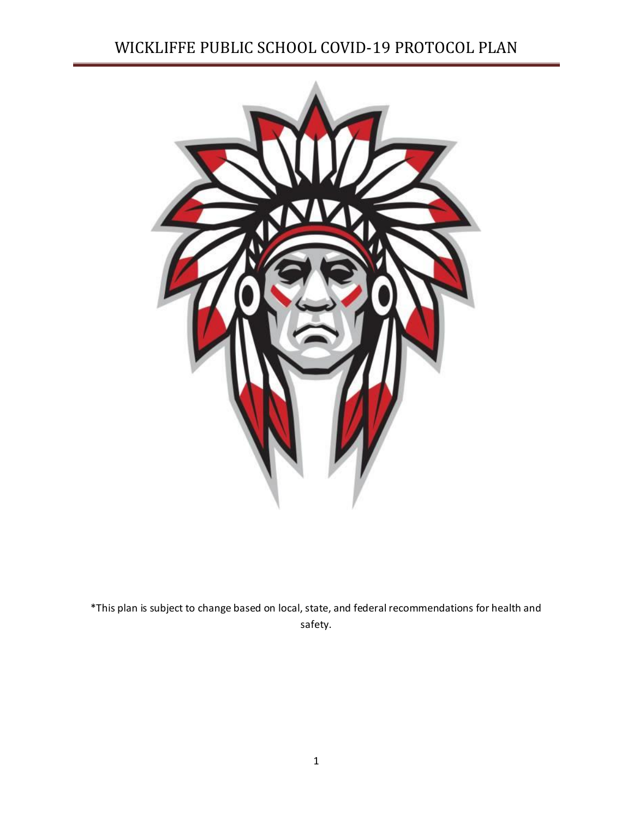# WICKLIFFE PUBLIC SCHOOL COVID-19 PROTOCOL PLAN



\*This plan is subject to change based on local, state, and federal recommendations for health and safety.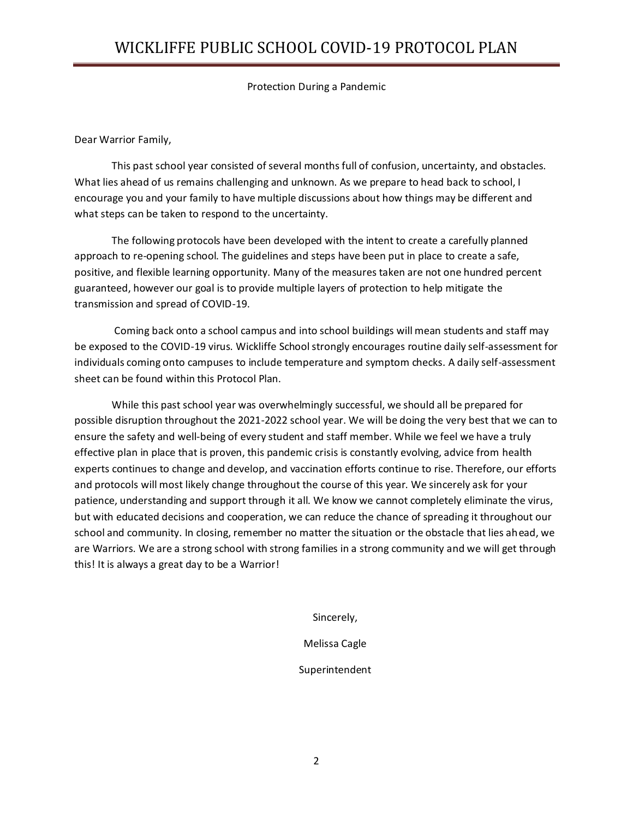Protection During a Pandemic

#### Dear Warrior Family,

This past school year consisted of several months full of confusion, uncertainty, and obstacles. What lies ahead of us remains challenging and unknown. As we prepare to head back to school, I encourage you and your family to have multiple discussions about how things may be different and what steps can be taken to respond to the uncertainty.

The following protocols have been developed with the intent to create a carefully planned approach to re-opening school. The guidelines and steps have been put in place to create a safe, positive, and flexible learning opportunity. Many of the measures taken are not one hundred percent guaranteed, however our goal is to provide multiple layers of protection to help mitigate the transmission and spread of COVID-19.

Coming back onto a school campus and into school buildings will mean students and staff may be exposed to the COVID-19 virus. Wickliffe School strongly encourages routine daily self-assessment for individuals coming onto campuses to include temperature and symptom checks. A daily self-assessment sheet can be found within this Protocol Plan.

While this past school year was overwhelmingly successful, we should all be prepared for possible disruption throughout the 2021-2022 school year. We will be doing the very best that we can to ensure the safety and well-being of every student and staff member. While we feel we have a truly effective plan in place that is proven, this pandemic crisis is constantly evolving, advice from health experts continues to change and develop, and vaccination efforts continue to rise. Therefore, our efforts and protocols will most likely change throughout the course of this year. We sincerely ask for your patience, understanding and support through it all. We know we cannot completely eliminate the virus, but with educated decisions and cooperation, we can reduce the chance of spreading it throughout our school and community. In closing, remember no matter the situation or the obstacle that lies ahead, we are Warriors. We are a strong school with strong families in a strong community and we will get through this! It is always a great day to be a Warrior!

Sincerely,

Melissa Cagle

Superintendent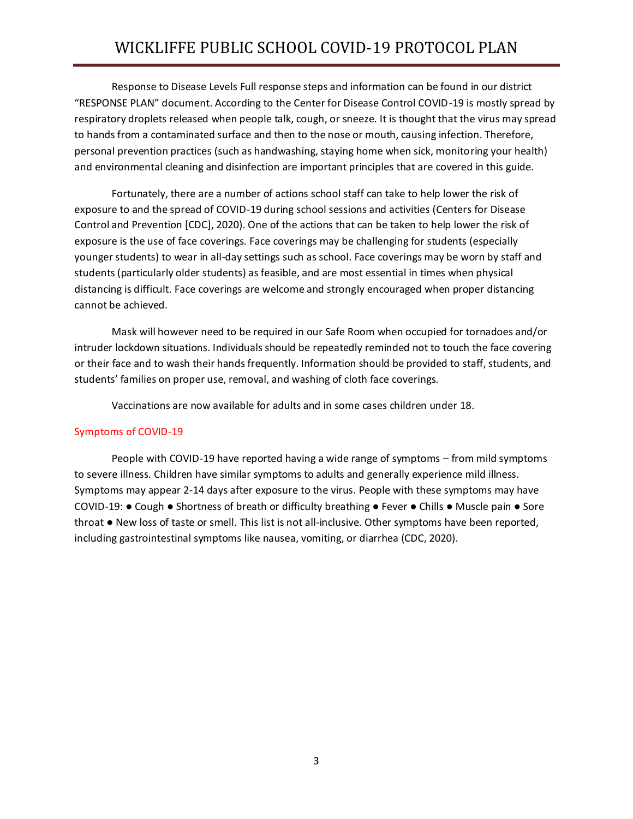Response to Disease Levels Full response steps and information can be found in our district "RESPONSE PLAN" document. According to the Center for Disease Control COVID-19 is mostly spread by respiratory droplets released when people talk, cough, or sneeze. It is thought that the virus may spread to hands from a contaminated surface and then to the nose or mouth, causing infection. Therefore, personal prevention practices (such as handwashing, staying home when sick, monitoring your health) and environmental cleaning and disinfection are important principles that are covered in this guide.

Fortunately, there are a number of actions school staff can take to help lower the risk of exposure to and the spread of COVID-19 during school sessions and activities (Centers for Disease Control and Prevention [CDC], 2020). One of the actions that can be taken to help lower the risk of exposure is the use of face coverings. Face coverings may be challenging for students (especially younger students) to wear in all-day settings such as school. Face coverings may be worn by staff and students (particularly older students) as feasible, and are most essential in times when physical distancing is difficult. Face coverings are welcome and strongly encouraged when proper distancing cannot be achieved.

Mask will however need to be required in our Safe Room when occupied for tornadoes and/or intruder lockdown situations. Individuals should be repeatedly reminded not to touch the face covering or their face and to wash their hands frequently. Information should be provided to staff, students, and students' families on proper use, removal, and washing of cloth face coverings.

Vaccinations are now available for adults and in some cases children under 18.

### Symptoms of COVID-19

People with COVID-19 have reported having a wide range of symptoms – from mild symptoms to severe illness. Children have similar symptoms to adults and generally experience mild illness. Symptoms may appear 2-14 days after exposure to the virus. People with these symptoms may have COVID-19: ● Cough ● Shortness of breath or difficulty breathing ● Fever ● Chills ● Muscle pain ● Sore throat ● New loss of taste or smell. This list is not all-inclusive. Other symptoms have been reported, including gastrointestinal symptoms like nausea, vomiting, or diarrhea (CDC, 2020).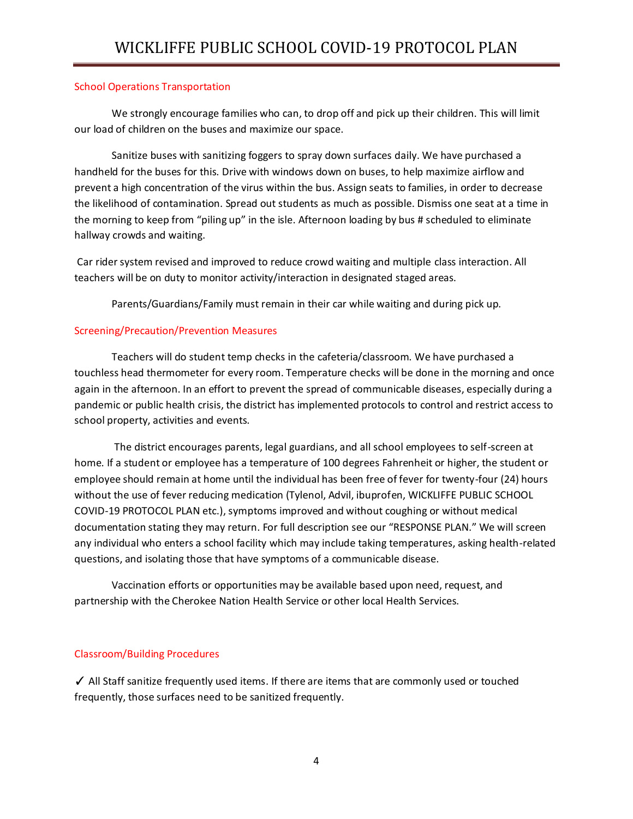### School Operations Transportation

We strongly encourage families who can, to drop off and pick up their children. This will limit our load of children on the buses and maximize our space.

Sanitize buses with sanitizing foggers to spray down surfaces daily. We have purchased a handheld for the buses for this. Drive with windows down on buses, to help maximize airflow and prevent a high concentration of the virus within the bus. Assign seats to families, in order to decrease the likelihood of contamination. Spread out students as much as possible. Dismiss one seat at a time in the morning to keep from "piling up" in the isle. Afternoon loading by bus # scheduled to eliminate hallway crowds and waiting.

Car rider system revised and improved to reduce crowd waiting and multiple class interaction. All teachers will be on duty to monitor activity/interaction in designated staged areas.

Parents/Guardians/Family must remain in their car while waiting and during pick up.

## Screening/Precaution/Prevention Measures

Teachers will do student temp checks in the cafeteria/classroom. We have purchased a touchless head thermometer for every room. Temperature checks will be done in the morning and once again in the afternoon. In an effort to prevent the spread of communicable diseases, especially during a pandemic or public health crisis, the district has implemented protocols to control and restrict access to school property, activities and events.

The district encourages parents, legal guardians, and all school employees to self-screen at home. If a student or employee has a temperature of 100 degrees Fahrenheit or higher, the student or employee should remain at home until the individual has been free of fever for twenty-four (24) hours without the use of fever reducing medication (Tylenol, Advil, ibuprofen, WICKLIFFE PUBLIC SCHOOL COVID-19 PROTOCOL PLAN etc.), symptoms improved and without coughing or without medical documentation stating they may return. For full description see our "RESPONSE PLAN." We will screen any individual who enters a school facility which may include taking temperatures, asking health-related questions, and isolating those that have symptoms of a communicable disease.

Vaccination efforts or opportunities may be available based upon need, request, and partnership with the Cherokee Nation Health Service or other local Health Services.

## Classroom/Building Procedures

✓ All Staff sanitize frequently used items. If there are items that are commonly used or touched frequently, those surfaces need to be sanitized frequently.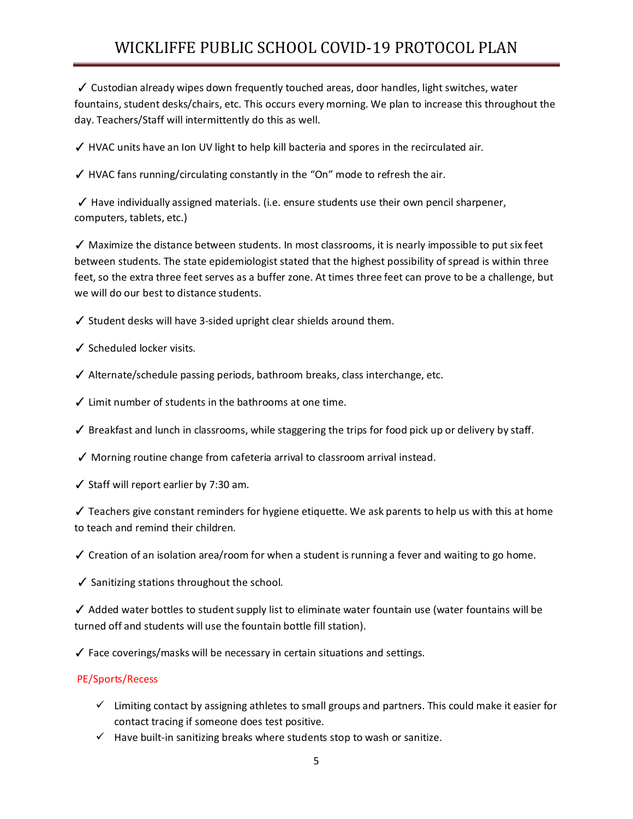# WICKLIFFE PUBLIC SCHOOL COVID-19 PROTOCOL PLAN

✓ Custodian already wipes down frequently touched areas, door handles, light switches, water fountains, student desks/chairs, etc. This occurs every morning. We plan to increase this throughout the day. Teachers/Staff will intermittently do this as well.

✓ HVAC units have an Ion UV light to help kill bacteria and spores in the recirculated air.

 $\checkmark$  HVAC fans running/circulating constantly in the "On" mode to refresh the air.

 $\checkmark$  Have individually assigned materials. (i.e. ensure students use their own pencil sharpener, computers, tablets, etc.)

 $\checkmark$  Maximize the distance between students. In most classrooms, it is nearly impossible to put six feet between students. The state epidemiologist stated that the highest possibility of spread is within three feet, so the extra three feet serves as a buffer zone. At times three feet can prove to be a challenge, but we will do our best to distance students.

 $\checkmark$  Student desks will have 3-sided upright clear shields around them.

- ✓ Scheduled locker visits.
- ✓ Alternate/schedule passing periods, bathroom breaks, class interchange, etc.
- $\checkmark$  Limit number of students in the bathrooms at one time.
- $\checkmark$  Breakfast and lunch in classrooms, while staggering the trips for food pick up or delivery by staff.
- ✓ Morning routine change from cafeteria arrival to classroom arrival instead.
- $\checkmark$  Staff will report earlier by 7:30 am.

 $\checkmark$  Teachers give constant reminders for hygiene etiquette. We ask parents to help us with this at home to teach and remind their children.

 $\checkmark$  Creation of an isolation area/room for when a student is running a fever and waiting to go home.

✓ Sanitizing stations throughout the school.

 $\checkmark$  Added water bottles to student supply list to eliminate water fountain use (water fountains will be turned off and students will use the fountain bottle fill station).

✓ Face coverings/masks will be necessary in certain situations and settings.

### PE/Sports/Recess

- $\checkmark$  Limiting contact by assigning athletes to small groups and partners. This could make it easier for contact tracing if someone does test positive.
- $\checkmark$  Have built-in sanitizing breaks where students stop to wash or sanitize.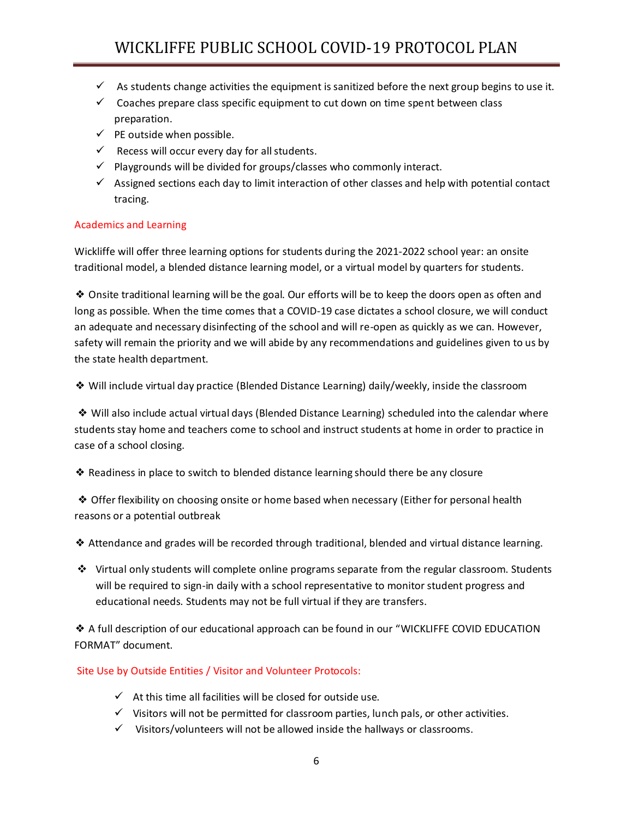- $\checkmark$  As students change activities the equipment is sanitized before the next group begins to use it.
- $\checkmark$  Coaches prepare class specific equipment to cut down on time spent between class preparation.
- $\checkmark$  PE outside when possible.
- $\checkmark$  Recess will occur every day for all students.
- $\checkmark$  Playgrounds will be divided for groups/classes who commonly interact.
- $\checkmark$  Assigned sections each day to limit interaction of other classes and help with potential contact tracing.

### Academics and Learning

Wickliffe will offer three learning options for students during the 2021-2022 school year: an onsite traditional model, a blended distance learning model, or a virtual model by quarters for students.

❖ Onsite traditional learning will be the goal. Our efforts will be to keep the doors open as often and long as possible. When the time comes that a COVID-19 case dictates a school closure, we will conduct an adequate and necessary disinfecting of the school and will re-open as quickly as we can. However, safety will remain the priority and we will abide by any recommendations and guidelines given to us by the state health department.

❖ Will include virtual day practice (Blended Distance Learning) daily/weekly, inside the classroom

❖ Will also include actual virtual days (Blended Distance Learning) scheduled into the calendar where students stay home and teachers come to school and instruct students at home in order to practice in case of a school closing.

❖ Readiness in place to switch to blended distance learning should there be any closure

❖ Offer flexibility on choosing onsite or home based when necessary (Either for personal health reasons or a potential outbreak

❖ Attendance and grades will be recorded through traditional, blended and virtual distance learning.

 $\div$  Virtual only students will complete online programs separate from the regular classroom. Students will be required to sign-in daily with a school representative to monitor student progress and educational needs. Students may not be full virtual if they are transfers.

❖ A full description of our educational approach can be found in our "WICKLIFFE COVID EDUCATION FORMAT" document.

Site Use by Outside Entities / Visitor and Volunteer Protocols:

- $\checkmark$  At this time all facilities will be closed for outside use.
- $\checkmark$  Visitors will not be permitted for classroom parties, lunch pals, or other activities.
- $\checkmark$  Visitors/volunteers will not be allowed inside the hallways or classrooms.